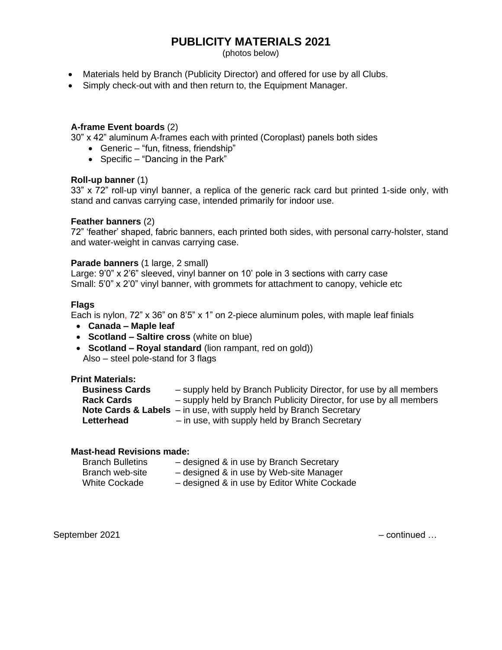## **PUBLICITY MATERIALS 2021**

(photos below)

- Materials held by Branch (Publicity Director) and offered for use by all Clubs.
- Simply check-out with and then return to, the Equipment Manager.

#### **A-frame Event boards** (2)

30" x 42" aluminum A-frames each with printed (Coroplast) panels both sides

- Generic "fun, fitness, friendship"
- Specific "Dancing in the Park"

#### **Roll-up banner** (1)

33" x 72" roll-up vinyl banner, a replica of the generic rack card but printed 1-side only, with stand and canvas carrying case, intended primarily for indoor use.

#### **Feather banners** (2)

72" 'feather' shaped, fabric banners, each printed both sides, with personal carry-holster, stand and water-weight in canvas carrying case.

#### **Parade banners** (1 large, 2 small)

Large: 9'0" x 2'6" sleeved, vinyl banner on 10' pole in 3 sections with carry case Small: 5'0" x 2'0" vinyl banner, with grommets for attachment to canopy, vehicle etc

#### **Flags**

Each is nylon, 72" x 36" on 8'5" x 1" on 2-piece aluminum poles, with maple leaf finials

- **Canada – Maple leaf**
- **Scotland – Saltire cross** (white on blue)
- **Scotland – Royal standard** (lion rampant, red on gold)) Also – steel pole-stand for 3 flags

#### **Print Materials:**

| <b>Business Cards</b> | - supply held by Branch Publicity Director, for use by all members              |
|-----------------------|---------------------------------------------------------------------------------|
| <b>Rack Cards</b>     | - supply held by Branch Publicity Director, for use by all members              |
|                       | <b>Note Cards &amp; Labels</b> $-$ in use, with supply held by Branch Secretary |
| Letterhead            | - in use, with supply held by Branch Secretary                                  |

### **Mast-head Revisions made:**

| <b>Branch Bulletins</b> | - designed & in use by Branch Secretary     |
|-------------------------|---------------------------------------------|
| Branch web-site         | - designed & in use by Web-site Manager     |
| <b>White Cockade</b>    | - designed & in use by Editor White Cockade |

September 2021 **For a struck of the september 2021** – continued …